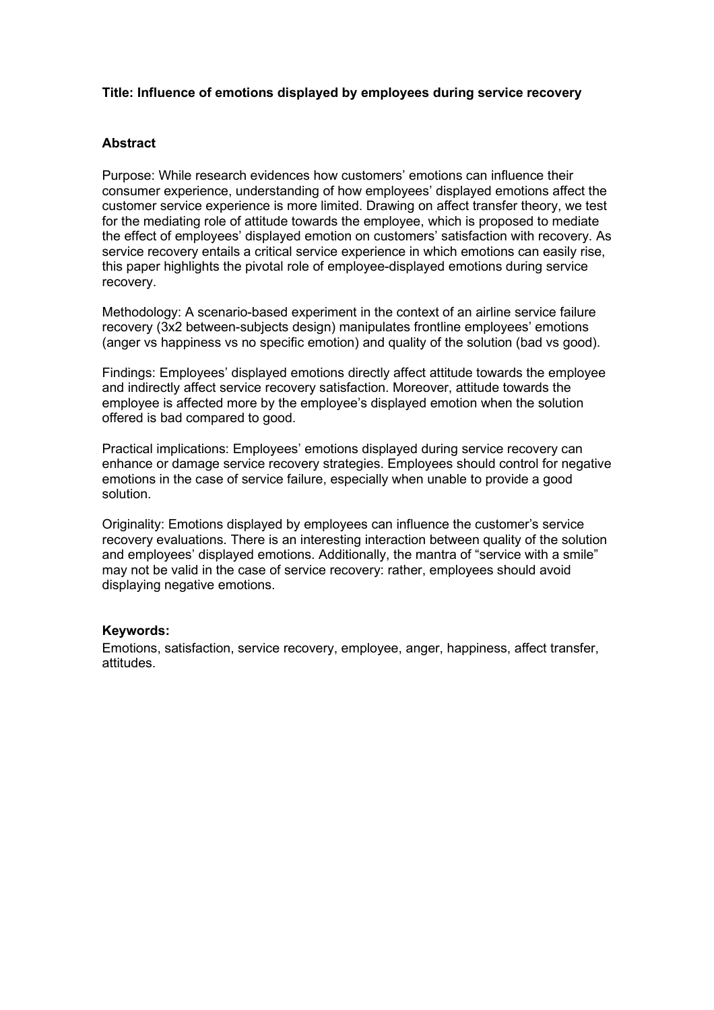## **Title: Influence of emotions displayed by employees during service recovery**

#### **Abstract**

Purpose: While research evidences how customers' emotions can influence their consumer experience, understanding of how employees' displayed emotions affect the customer service experience is more limited. Drawing on affect transfer theory, we test for the mediating role of attitude towards the employee, which is proposed to mediate the effect of employees' displayed emotion on customers' satisfaction with recovery. As service recovery entails a critical service experience in which emotions can easily rise, this paper highlights the pivotal role of employee-displayed emotions during service recovery.

Methodology: A scenario-based experiment in the context of an airline service failure recovery (3x2 between-subjects design) manipulates frontline employees' emotions (anger vs happiness vs no specific emotion) and quality of the solution (bad vs good).

Findings: Employees' displayed emotions directly affect attitude towards the employee and indirectly affect service recovery satisfaction. Moreover, attitude towards the employee is affected more by the employee's displayed emotion when the solution offered is bad compared to good.

Practical implications: Employees' emotions displayed during service recovery can enhance or damage service recovery strategies. Employees should control for negative emotions in the case of service failure, especially when unable to provide a good solution.

Originality: Emotions displayed by employees can influence the customer's service recovery evaluations. There is an interesting interaction between quality of the solution and employees' displayed emotions. Additionally, the mantra of "service with a smile" may not be valid in the case of service recovery: rather, employees should avoid displaying negative emotions.

#### **Keywords:**

Emotions, satisfaction, service recovery, employee, anger, happiness, affect transfer, attitudes.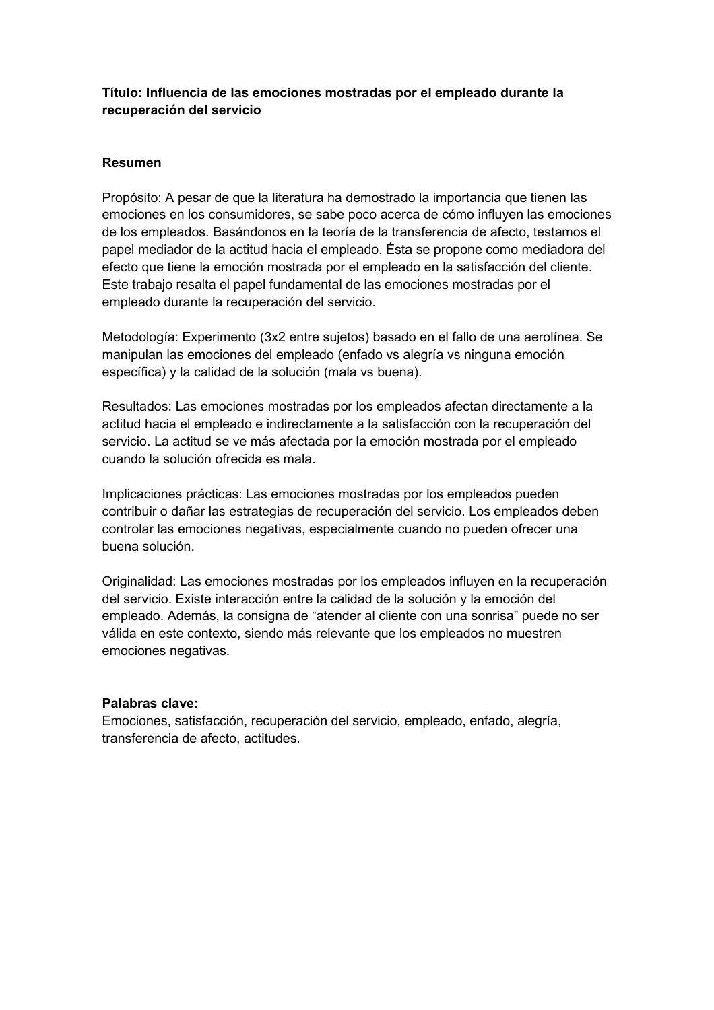# **Título: Influencia de las emociones mostradas por el empleado durante la recuperación del servicio**

# **Resumen**

Propósito: A pesar de que la literatura ha demostrado la importancia que tienen las emociones en los consumidores, se sabe poco acerca de cómo influyen las emociones de los empleados. Basándonos en la teoría de la transferencia de afecto, testamos el papel mediador de la actitud hacia el empleado. Ésta se propone como mediadora del efecto que tiene la emoción mostrada por el empleado en la satisfacción del cliente. Este trabajo resalta el papel fundamental de las emociones mostradas por el empleado durante la recuperación del servicio.

Metodología: Experimento (3x2 entre sujetos) basado en el fallo de una aerolínea. Se manipulan las emociones del empleado (enfado vs alegría vs ninguna emoción específica) y la calidad de la solución (mala vs buena).

Resultados: Las emociones mostradas por los empleados afectan directamente a la actitud hacia el empleado e indirectamente a la satisfacción con la recuperación del servicio. La actitud se ve más afectada por la emoción mostrada por el empleado cuando la solución ofrecida es mala.

Implicaciones prácticas: Las emociones mostradas por los empleados pueden contribuir o dañar las estrategias de recuperación del servicio. Los empleados deben controlar las emociones negativas, especialmente cuando no pueden ofrecer una buena solución.

Originalidad: Las emociones mostradas por los empleados influyen en la recuperación del servicio. Existe interacción entre la calidad de la solución y la emoción del empleado. Además, la consigna de "atender al cliente con una sonrisa" puede no ser válida en este contexto, siendo más relevante que los empleados no muestren emociones negativas.

## **Palabras clave:**

Emociones, satisfacción, recuperación del servicio, empleado, enfado, alegría, transferencia de afecto, actitudes.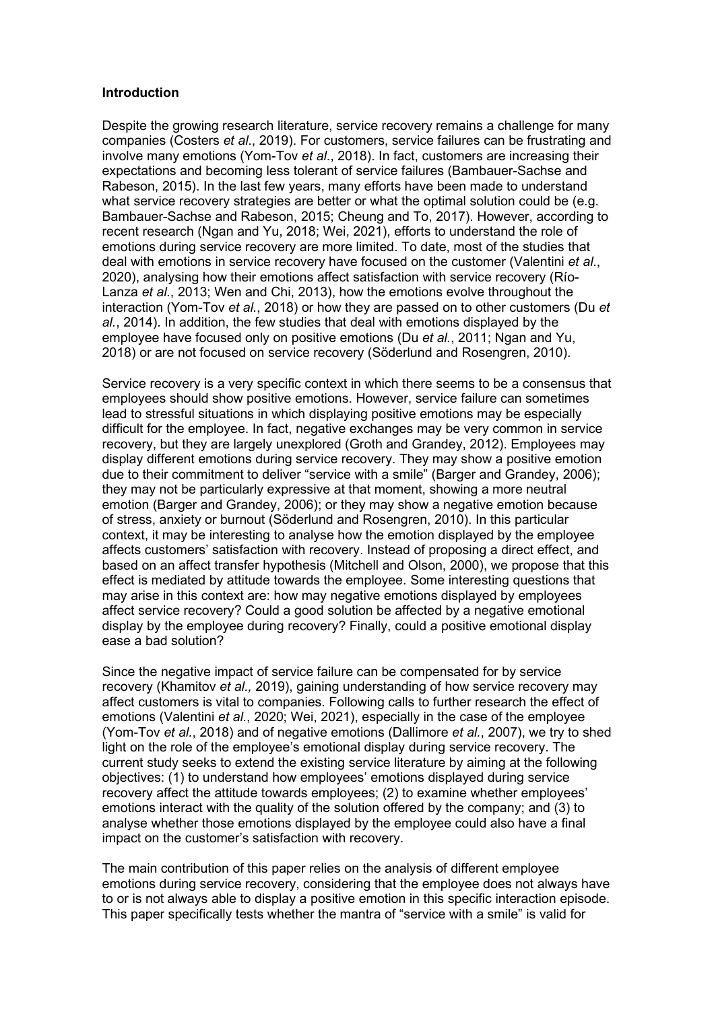#### **Introduction**

Despite the growing research literature, service recovery remains a challenge for many companies (Costers *et al*., 2019). For customers, service failures can be frustrating and involve many emotions (Yom-Tov *et al*., 2018). In fact, customers are increasing their expectations and becoming less tolerant of service failures (Bambauer-Sachse and Rabeson, 2015). In the last few years, many efforts have been made to understand what service recovery strategies are better or what the optimal solution could be (e.g. Bambauer-Sachse and Rabeson, 2015; Cheung and To, 2017). However, according to recent research (Ngan and Yu, 2018; Wei, 2021), efforts to understand the role of emotions during service recovery are more limited. To date, most of the studies that deal with emotions in service recovery have focused on the customer (Valentini *et al*., 2020), analysing how their emotions affect satisfaction with service recovery (Río-Lanza *et al.*, 2013; Wen and Chi, 2013), how the emotions evolve throughout the interaction (Yom-Tov *et al.*, 2018) or how they are passed on to other customers (Du *et al.*, 2014). In addition, the few studies that deal with emotions displayed by the employee have focused only on positive emotions (Du *et al.*, 2011; Ngan and Yu, 2018) or are not focused on service recovery (Söderlund and Rosengren, 2010).

Service recovery is a very specific context in which there seems to be a consensus that employees should show positive emotions. However, service failure can sometimes lead to stressful situations in which displaying positive emotions may be especially difficult for the employee. In fact, negative exchanges may be very common in service recovery, but they are largely unexplored (Groth and Grandey, 2012). Employees may display different emotions during service recovery. They may show a positive emotion due to their commitment to deliver "service with a smile" (Barger and Grandey, 2006); they may not be particularly expressive at that moment, showing a more neutral emotion (Barger and Grandey, 2006); or they may show a negative emotion because of stress, anxiety or burnout (Söderlund and Rosengren, 2010). In this particular context, it may be interesting to analyse how the emotion displayed by the employee affects customers' satisfaction with recovery. Instead of proposing a direct effect, and based on an affect transfer hypothesis (Mitchell and Olson, 2000), we propose that this effect is mediated by attitude towards the employee. Some interesting questions that may arise in this context are: how may negative emotions displayed by employees affect service recovery? Could a good solution be affected by a negative emotional display by the employee during recovery? Finally, could a positive emotional display ease a bad solution?

Since the negative impact of service failure can be compensated for by service recovery (Khamitov *et al.,* 2019), gaining understanding of how service recovery may affect customers is vital to companies. Following calls to further research the effect of emotions (Valentini *et al.*, 2020; Wei, 2021), especially in the case of the employee (Yom-Tov *et al.*, 2018) and of negative emotions (Dallimore *et al.*, 2007), we try to shed light on the role of the employee's emotional display during service recovery. The current study seeks to extend the existing service literature by aiming at the following objectives: (1) to understand how employees' emotions displayed during service recovery affect the attitude towards employees; (2) to examine whether employees' emotions interact with the quality of the solution offered by the company; and (3) to analyse whether those emotions displayed by the employee could also have a final impact on the customer's satisfaction with recovery.

The main contribution of this paper relies on the analysis of different employee emotions during service recovery, considering that the employee does not always have to or is not always able to display a positive emotion in this specific interaction episode. This paper specifically tests whether the mantra of "service with a smile" is valid for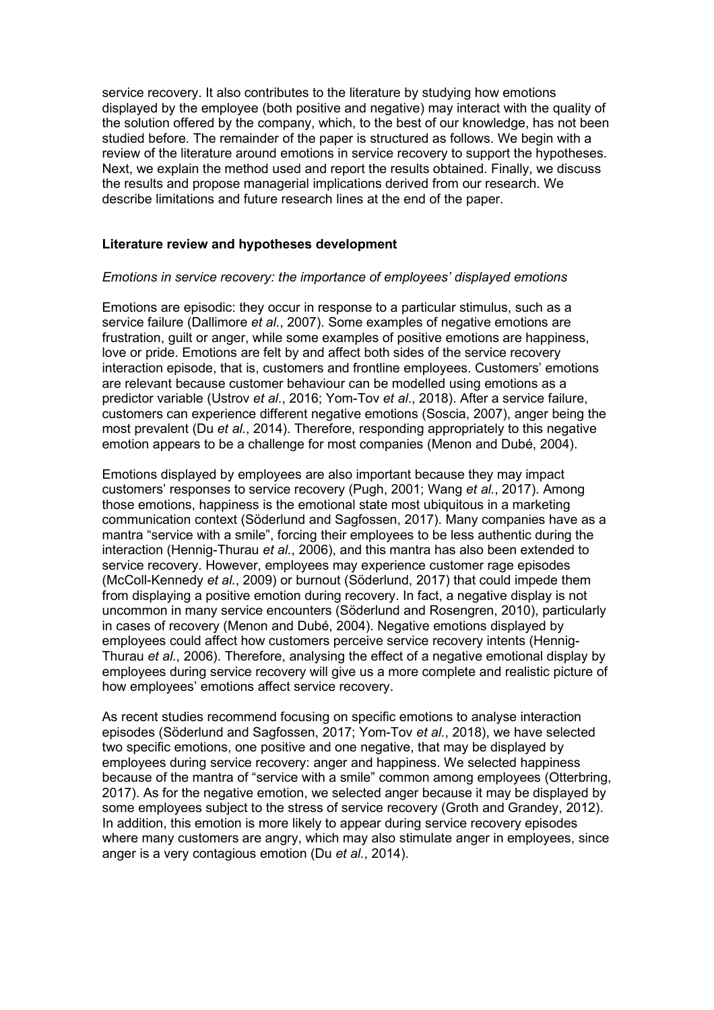service recovery. It also contributes to the literature by studying how emotions displayed by the employee (both positive and negative) may interact with the quality of the solution offered by the company, which, to the best of our knowledge, has not been studied before. The remainder of the paper is structured as follows. We begin with a review of the literature around emotions in service recovery to support the hypotheses. Next, we explain the method used and report the results obtained. Finally, we discuss the results and propose managerial implications derived from our research. We describe limitations and future research lines at the end of the paper.

#### **Literature review and hypotheses development**

#### *Emotions in service recovery: the importance of employees' displayed emotions*

Emotions are episodic: they occur in response to a particular stimulus, such as a service failure (Dallimore *et al.*, 2007). Some examples of negative emotions are frustration, guilt or anger, while some examples of positive emotions are happiness, love or pride. Emotions are felt by and affect both sides of the service recovery interaction episode, that is, customers and frontline employees. Customers' emotions are relevant because customer behaviour can be modelled using emotions as a predictor variable (Ustrov *et al*., 2016; Yom-Tov *et al*., 2018). After a service failure, customers can experience different negative emotions (Soscia, 2007), anger being the most prevalent (Du *et al.*, 2014). Therefore, responding appropriately to this negative emotion appears to be a challenge for most companies (Menon and Dubé, 2004).

Emotions displayed by employees are also important because they may impact customers' responses to service recovery (Pugh, 2001; Wang *et al.*, 2017). Among those emotions, happiness is the emotional state most ubiquitous in a marketing communication context (Söderlund and Sagfossen, 2017). Many companies have as a mantra "service with a smile", forcing their employees to be less authentic during the interaction (Hennig-Thurau *et al.*, 2006), and this mantra has also been extended to service recovery. However, employees may experience customer rage episodes (McColl-Kennedy *et al.*, 2009) or burnout (Söderlund, 2017) that could impede them from displaying a positive emotion during recovery. In fact, a negative display is not uncommon in many service encounters (Söderlund and Rosengren, 2010), particularly in cases of recovery (Menon and Dubé, 2004). Negative emotions displayed by employees could affect how customers perceive service recovery intents (Hennig-Thurau *et al.*, 2006). Therefore, analysing the effect of a negative emotional display by employees during service recovery will give us a more complete and realistic picture of how employees' emotions affect service recovery.

As recent studies recommend focusing on specific emotions to analyse interaction episodes (Söderlund and Sagfossen, 2017; Yom-Tov *et al.*, 2018), we have selected two specific emotions, one positive and one negative, that may be displayed by employees during service recovery: anger and happiness. We selected happiness because of the mantra of "service with a smile" common among employees (Otterbring, 2017). As for the negative emotion, we selected anger because it may be displayed by some employees subject to the stress of service recovery (Groth and Grandey, 2012). In addition, this emotion is more likely to appear during service recovery episodes where many customers are angry, which may also stimulate anger in employees, since anger is a very contagious emotion (Du *et al.*, 2014).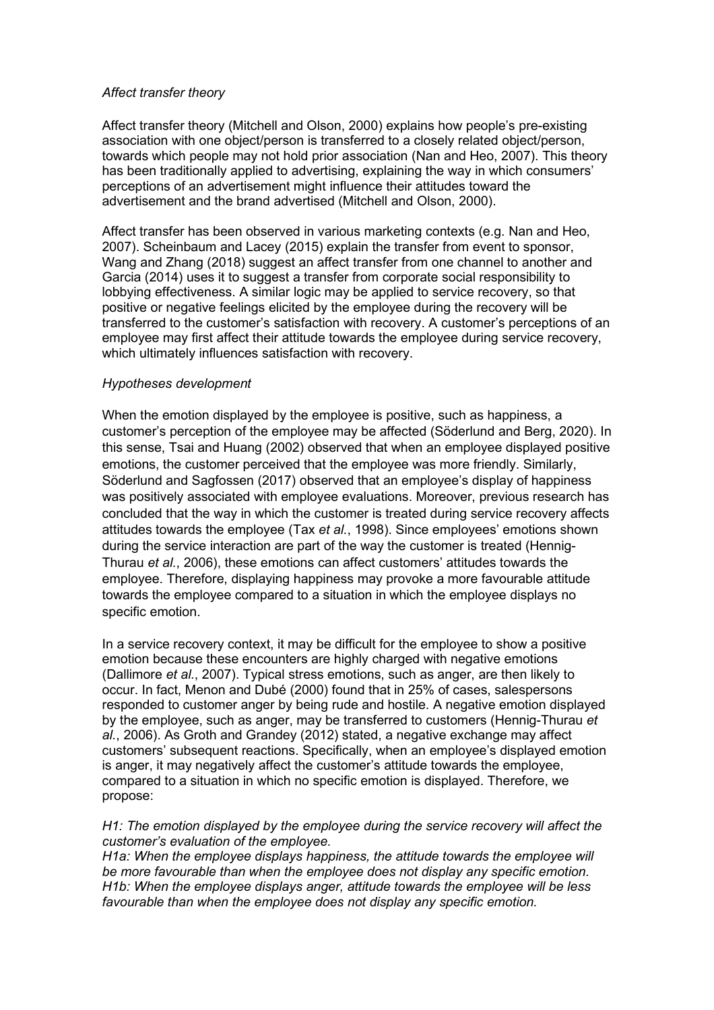#### *Affect transfer theory*

Affect transfer theory (Mitchell and Olson, 2000) explains how people's pre-existing association with one object/person is transferred to a closely related object/person, towards which people may not hold prior association (Nan and Heo, 2007). This theory has been traditionally applied to advertising, explaining the way in which consumers' perceptions of an advertisement might influence their attitudes toward the advertisement and the brand advertised (Mitchell and Olson, 2000).

Affect transfer has been observed in various marketing contexts (e.g. Nan and Heo, 2007). Scheinbaum and Lacey (2015) explain the transfer from event to sponsor, Wang and Zhang (2018) suggest an affect transfer from one channel to another and Garcia (2014) uses it to suggest a transfer from corporate social responsibility to lobbying effectiveness. A similar logic may be applied to service recovery, so that positive or negative feelings elicited by the employee during the recovery will be transferred to the customer's satisfaction with recovery. A customer's perceptions of an employee may first affect their attitude towards the employee during service recovery, which ultimately influences satisfaction with recovery.

#### *Hypotheses development*

When the emotion displayed by the employee is positive, such as happiness, a customer's perception of the employee may be affected (Söderlund and Berg, 2020). In this sense, Tsai and Huang (2002) observed that when an employee displayed positive emotions, the customer perceived that the employee was more friendly. Similarly, Söderlund and Sagfossen (2017) observed that an employee's display of happiness was positively associated with employee evaluations. Moreover, previous research has concluded that the way in which the customer is treated during service recovery affects attitudes towards the employee (Tax *et al.*, 1998). Since employees' emotions shown during the service interaction are part of the way the customer is treated (Hennig-Thurau *et al.*, 2006), these emotions can affect customers' attitudes towards the employee. Therefore, displaying happiness may provoke a more favourable attitude towards the employee compared to a situation in which the employee displays no specific emotion.

In a service recovery context, it may be difficult for the employee to show a positive emotion because these encounters are highly charged with negative emotions (Dallimore *et al.*, 2007). Typical stress emotions, such as anger, are then likely to occur. In fact, Menon and Dubé (2000) found that in 25% of cases, salespersons responded to customer anger by being rude and hostile. A negative emotion displayed by the employee, such as anger, may be transferred to customers (Hennig-Thurau *et al.*, 2006). As Groth and Grandey (2012) stated, a negative exchange may affect customers' subsequent reactions. Specifically, when an employee's displayed emotion is anger, it may negatively affect the customer's attitude towards the employee, compared to a situation in which no specific emotion is displayed. Therefore, we propose:

#### *H1: The emotion displayed by the employee during the service recovery will affect the customer's evaluation of the employee.*

*H1a: When the employee displays happiness, the attitude towards the emplovee will be more favourable than when the employee does not display any specific emotion. H1b: When the employee displays anger, attitude towards the employee will be less favourable than when the employee does not display any specific emotion.*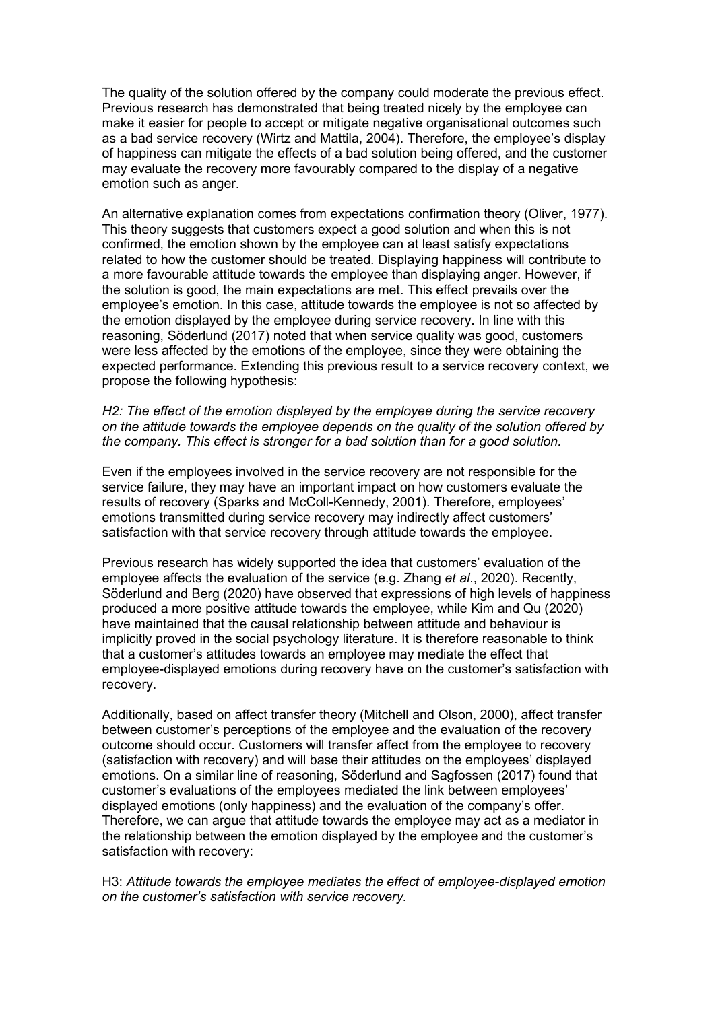The quality of the solution offered by the company could moderate the previous effect. Previous research has demonstrated that being treated nicely by the employee can make it easier for people to accept or mitigate negative organisational outcomes such as a bad service recovery (Wirtz and Mattila, 2004). Therefore, the employee's display of happiness can mitigate the effects of a bad solution being offered, and the customer may evaluate the recovery more favourably compared to the display of a negative emotion such as anger.

An alternative explanation comes from expectations confirmation theory (Oliver, 1977). This theory suggests that customers expect a good solution and when this is not confirmed, the emotion shown by the employee can at least satisfy expectations related to how the customer should be treated. Displaying happiness will contribute to a more favourable attitude towards the employee than displaying anger. However, if the solution is good, the main expectations are met. This effect prevails over the employee's emotion. In this case, attitude towards the employee is not so affected by the emotion displayed by the employee during service recovery. In line with this reasoning, Söderlund (2017) noted that when service quality was good, customers were less affected by the emotions of the employee, since they were obtaining the expected performance. Extending this previous result to a service recovery context, we propose the following hypothesis:

#### *H2: The effect of the emotion displayed by the employee during the service recovery on the attitude towards the employee depends on the quality of the solution offered by the company. This effect is stronger for a bad solution than for a good solution.*

Even if the employees involved in the service recovery are not responsible for the service failure, they may have an important impact on how customers evaluate the results of recovery (Sparks and McColl-Kennedy, 2001). Therefore, employees' emotions transmitted during service recovery may indirectly affect customers' satisfaction with that service recovery through attitude towards the employee.

Previous research has widely supported the idea that customers' evaluation of the employee affects the evaluation of the service (e.g. Zhang *et al*., 2020). Recently, Söderlund and Berg (2020) have observed that expressions of high levels of happiness produced a more positive attitude towards the employee, while Kim and Qu (2020) have maintained that the causal relationship between attitude and behaviour is implicitly proved in the social psychology literature. It is therefore reasonable to think that a customer's attitudes towards an employee may mediate the effect that employee-displayed emotions during recovery have on the customer's satisfaction with recovery.

Additionally, based on affect transfer theory (Mitchell and Olson, 2000), affect transfer between customer's perceptions of the employee and the evaluation of the recovery outcome should occur. Customers will transfer affect from the employee to recovery (satisfaction with recovery) and will base their attitudes on the employees' displayed emotions. On a similar line of reasoning, Söderlund and Sagfossen (2017) found that customer's evaluations of the employees mediated the link between employees' displayed emotions (only happiness) and the evaluation of the company's offer. Therefore, we can argue that attitude towards the employee may act as a mediator in the relationship between the emotion displayed by the employee and the customer's satisfaction with recovery:

H3: *Attitude towards the employee mediates the effect of employee-displayed emotion on the customer's satisfaction with service recovery.*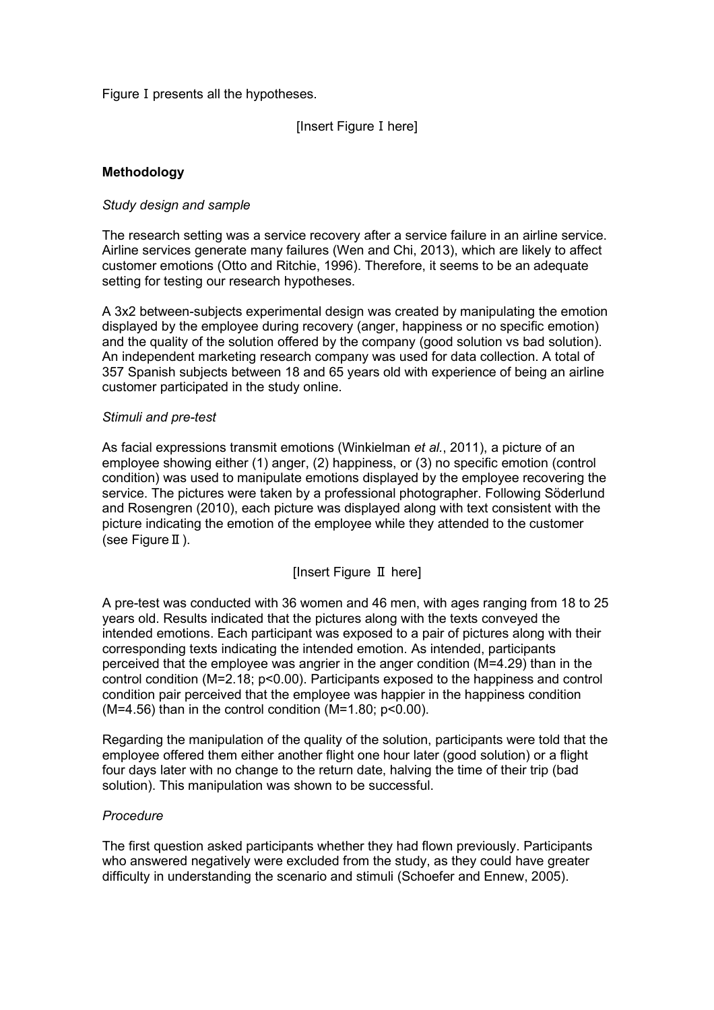Figure I presents all the hypotheses.

[Insert Figure I here]

# **Methodology**

#### *Study design and sample*

The research setting was a service recovery after a service failure in an airline service. Airline services generate many failures (Wen and Chi, 2013), which are likely to affect customer emotions (Otto and Ritchie, 1996). Therefore, it seems to be an adequate setting for testing our research hypotheses.

A 3x2 between-subjects experimental design was created by manipulating the emotion displayed by the employee during recovery (anger, happiness or no specific emotion) and the quality of the solution offered by the company (good solution vs bad solution). An independent marketing research company was used for data collection. A total of 357 Spanish subjects between 18 and 65 years old with experience of being an airline customer participated in the study online.

#### *Stimuli and pre-test*

As facial expressions transmit emotions (Winkielman *et al.*, 2011), a picture of an employee showing either (1) anger, (2) happiness, or (3) no specific emotion (control condition) was used to manipulate emotions displayed by the employee recovering the service. The pictures were taken by a professional photographer. Following Söderlund and Rosengren (2010), each picture was displayed along with text consistent with the picture indicating the emotion of the employee while they attended to the customer (see FigureⅡ).

## [Insert Figure Ⅱ here]

A pre-test was conducted with 36 women and 46 men, with ages ranging from 18 to 25 years old. Results indicated that the pictures along with the texts conveyed the intended emotions. Each participant was exposed to a pair of pictures along with their corresponding texts indicating the intended emotion. As intended, participants perceived that the employee was angrier in the anger condition (M=4.29) than in the control condition (M=2.18; p<0.00). Participants exposed to the happiness and control condition pair perceived that the employee was happier in the happiness condition ( $M=4.56$ ) than in the control condition ( $M=1.80$ ;  $p<0.00$ ).

Regarding the manipulation of the quality of the solution, participants were told that the employee offered them either another flight one hour later (good solution) or a flight four days later with no change to the return date, halving the time of their trip (bad solution). This manipulation was shown to be successful.

#### *Procedure*

The first question asked participants whether they had flown previously. Participants who answered negatively were excluded from the study, as they could have greater difficulty in understanding the scenario and stimuli (Schoefer and Ennew, 2005).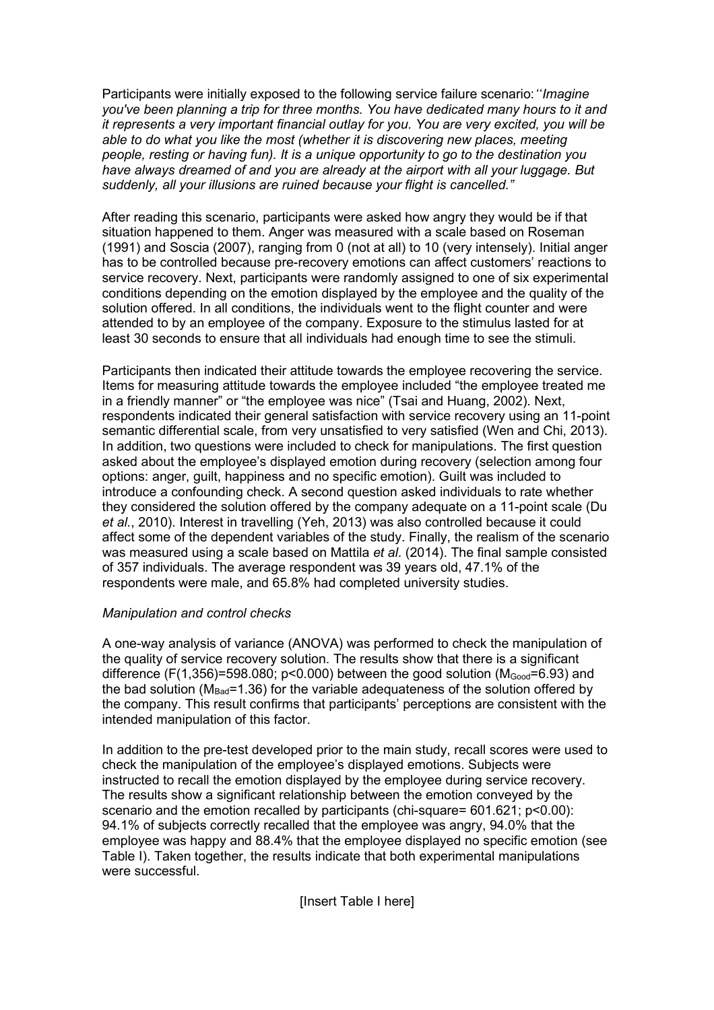Participants were initially exposed to the following service failure scenario:*"Imagine you've been planning a trip for three months. You have dedicated many hours to it and it represents a very important financial outlay for you. You are very excited, you will be able to do what you like the most (whether it is discovering new places, meeting people, resting or having fun). It is a unique opportunity to go to the destination you have always dreamed of and you are already at the airport with all your luggage. But suddenly, all your illusions are ruined because your flight is cancelled."*

After reading this scenario, participants were asked how angry they would be if that situation happened to them. Anger was measured with a scale based on Roseman (1991) and Soscia (2007), ranging from 0 (not at all) to 10 (very intensely). Initial anger has to be controlled because pre-recovery emotions can affect customers' reactions to service recovery. Next, participants were randomly assigned to one of six experimental conditions depending on the emotion displayed by the employee and the quality of the solution offered. In all conditions, the individuals went to the flight counter and were attended to by an employee of the company. Exposure to the stimulus lasted for at least 30 seconds to ensure that all individuals had enough time to see the stimuli.

Participants then indicated their attitude towards the employee recovering the service. Items for measuring attitude towards the employee included "the employee treated me in a friendly manner" or "the employee was nice" (Tsai and Huang, 2002). Next, respondents indicated their general satisfaction with service recovery using an 11-point semantic differential scale, from very unsatisfied to very satisfied (Wen and Chi, 2013). In addition, two questions were included to check for manipulations. The first question asked about the employee's displayed emotion during recovery (selection among four options: anger, guilt, happiness and no specific emotion). Guilt was included to introduce a confounding check. A second question asked individuals to rate whether they considered the solution offered by the company adequate on a 11-point scale (Du *et al.*, 2010). Interest in travelling (Yeh, 2013) was also controlled because it could affect some of the dependent variables of the study. Finally, the realism of the scenario was measured using a scale based on Mattila *et al*. (2014). The final sample consisted of 357 individuals. The average respondent was 39 years old, 47.1% of the respondents were male, and 65.8% had completed university studies.

# *Manipulation and control checks*

A one-way analysis of variance (ANOVA) was performed to check the manipulation of the quality of service recovery solution. The results show that there is a significant difference (F(1,356)=598.080; p<0.000) between the good solution ( $M_{Good}=6.93$ ) and the bad solution ( $M_{Bad}$ =1.36) for the variable adequateness of the solution offered by the company. This result confirms that participants' perceptions are consistent with the intended manipulation of this factor.

In addition to the pre-test developed prior to the main study, recall scores were used to check the manipulation of the employee's displayed emotions. Subjects were instructed to recall the emotion displayed by the employee during service recovery. The results show a significant relationship between the emotion conveyed by the scenario and the emotion recalled by participants (chi-square= 601.621; p<0.00): 94.1% of subjects correctly recalled that the employee was angry, 94.0% that the employee was happy and 88.4% that the employee displayed no specific emotion (see Table I). Taken together, the results indicate that both experimental manipulations were successful.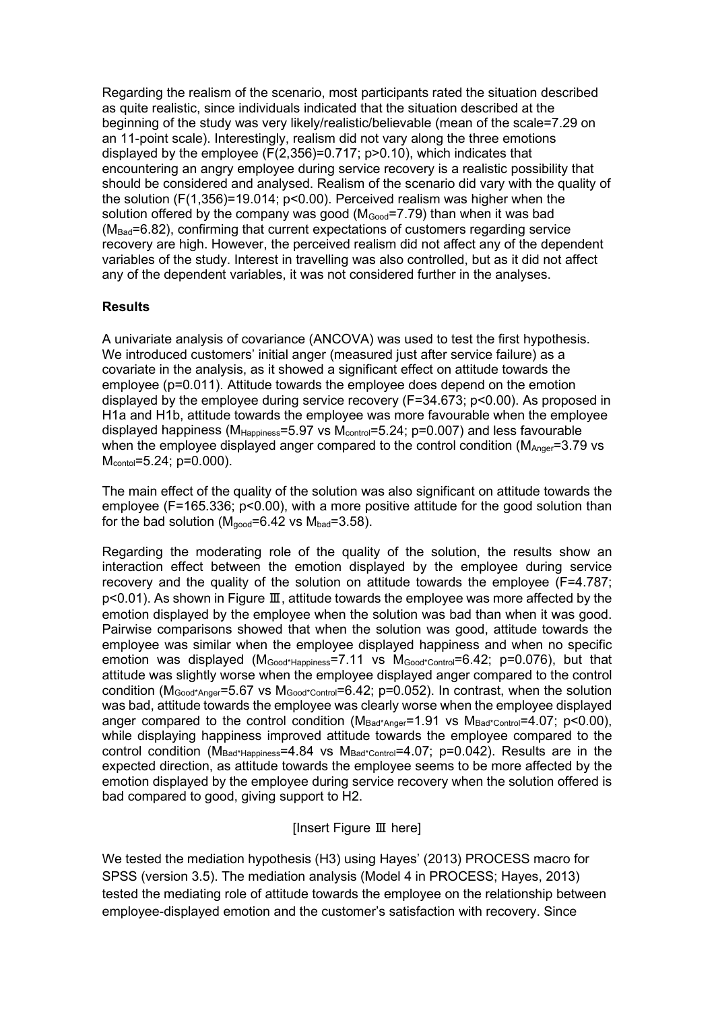Regarding the realism of the scenario, most participants rated the situation described as quite realistic, since individuals indicated that the situation described at the beginning of the study was very likely/realistic/believable (mean of the scale=7.29 on an 11-point scale). Interestingly, realism did not vary along the three emotions displayed by the employee  $(F(2,356)=0.717; p>0.10)$ , which indicates that encountering an angry employee during service recovery is a realistic possibility that should be considered and analysed. Realism of the scenario did vary with the quality of the solution (F(1,356)=19.014; p<0.00). Perceived realism was higher when the solution offered by the company was good ( $M_{Good}$ =7.79) than when it was bad (M<sub>Bad</sub>=6.82), confirming that current expectations of customers regarding service recovery are high. However, the perceived realism did not affect any of the dependent variables of the study. Interest in travelling was also controlled, but as it did not affect any of the dependent variables, it was not considered further in the analyses.

# **Results**

A univariate analysis of covariance (ANCOVA) was used to test the first hypothesis. We introduced customers' initial anger (measured just after service failure) as a covariate in the analysis, as it showed a significant effect on attitude towards the employee (p=0.011). Attitude towards the employee does depend on the emotion displayed by the employee during service recovery (F=34.673; p<0.00). As proposed in H1a and H1b, attitude towards the employee was more favourable when the employee displayed happiness ( $M_{Hapopines} = 5.97$  vs  $M_{control} = 5.24$ ; p=0.007) and less favourable when the employee displayed anger compared to the control condition ( $M_{Anger}=3.79$  vs Mcontol=5.24; p=0.000).

The main effect of the quality of the solution was also significant on attitude towards the employee (F=165.336; p<0.00), with a more positive attitude for the good solution than for the bad solution ( $M_{\text{good}}=6.42$  vs  $M_{\text{bad}}=3.58$ ).

Regarding the moderating role of the quality of the solution, the results show an interaction effect between the emotion displayed by the employee during service recovery and the quality of the solution on attitude towards the employee (F=4.787; p<0.01). As shown in Figure Ⅲ, attitude towards the employee was more affected by the emotion displayed by the employee when the solution was bad than when it was good. Pairwise comparisons showed that when the solution was good, attitude towards the employee was similar when the employee displayed happiness and when no specific emotion was displayed (M<sub>Good\*Happiness</sub>=7.11 vs M<sub>Good\*Control</sub>=6.42; p=0.076), but that attitude was slightly worse when the employee displayed anger compared to the control condition ( $M_{Good*Ander} = 5.67$  vs  $M_{Good*Control} = 6.42$ ; p=0.052). In contrast, when the solution was bad, attitude towards the employee was clearly worse when the employee displayed anger compared to the control condition ( $M_{Bad*Anger}$ =1.91 vs  $M_{Bad*Control}$ =4.07; p<0.00), while displaying happiness improved attitude towards the employee compared to the control condition ( $M_{Bad*Happines} = 4.84$  vs  $M_{Bad*Control} = 4.07$ ; p=0.042). Results are in the expected direction, as attitude towards the employee seems to be more affected by the emotion displayed by the employee during service recovery when the solution offered is bad compared to good, giving support to H2.

## [Insert Figure Ⅲ here]

We tested the mediation hypothesis (H3) using Hayes' (2013) PROCESS macro for SPSS (version 3.5). The mediation analysis (Model 4 in PROCESS; Hayes, 2013) tested the mediating role of attitude towards the employee on the relationship between employee-displayed emotion and the customer's satisfaction with recovery. Since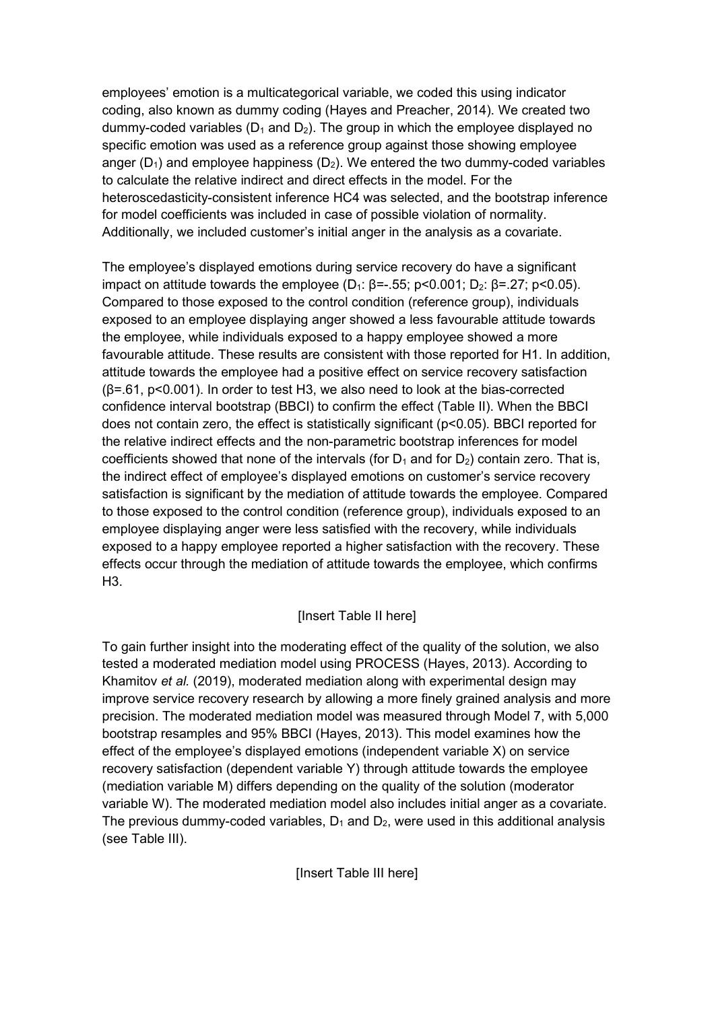employees' emotion is a multicategorical variable, we coded this using indicator coding, also known as dummy coding (Hayes and Preacher, 2014). We created two dummy-coded variables ( $D_1$  and  $D_2$ ). The group in which the employee displayed no specific emotion was used as a reference group against those showing employee anger ( $D_1$ ) and employee happiness ( $D_2$ ). We entered the two dummy-coded variables to calculate the relative indirect and direct effects in the model. For the heteroscedasticity-consistent inference HC4 was selected, and the bootstrap inference for model coefficients was included in case of possible violation of normality. Additionally, we included customer's initial anger in the analysis as a covariate.

The employee's displayed emotions during service recovery do have a significant impact on attitude towards the employee (D<sub>1</sub>:  $\beta$ =-.55; p<0.001; D<sub>2</sub>:  $\beta$ =.27; p<0.05). Compared to those exposed to the control condition (reference group), individuals exposed to an employee displaying anger showed a less favourable attitude towards the employee, while individuals exposed to a happy employee showed a more favourable attitude. These results are consistent with those reported for H1. In addition, attitude towards the employee had a positive effect on service recovery satisfaction (β=.61, p<0.001). In order to test H3, we also need to look at the bias-corrected confidence interval bootstrap (BBCI) to confirm the effect (Table II). When the BBCI does not contain zero, the effect is statistically significant (p<0.05). BBCI reported for the relative indirect effects and the non-parametric bootstrap inferences for model coefficients showed that none of the intervals (for  $D_1$  and for  $D_2$ ) contain zero. That is, the indirect effect of employee's displayed emotions on customer's service recovery satisfaction is significant by the mediation of attitude towards the employee. Compared to those exposed to the control condition (reference group), individuals exposed to an employee displaying anger were less satisfied with the recovery, while individuals exposed to a happy employee reported a higher satisfaction with the recovery. These effects occur through the mediation of attitude towards the employee, which confirms H3.

# [Insert Table II here]

To gain further insight into the moderating effect of the quality of the solution, we also tested a moderated mediation model using PROCESS (Hayes, 2013). According to Khamitov *et al.* (2019), moderated mediation along with experimental design may improve service recovery research by allowing a more finely grained analysis and more precision. The moderated mediation model was measured through Model 7, with 5,000 bootstrap resamples and 95% BBCI (Hayes, 2013). This model examines how the effect of the employee's displayed emotions (independent variable X) on service recovery satisfaction (dependent variable Y) through attitude towards the employee (mediation variable M) differs depending on the quality of the solution (moderator variable W). The moderated mediation model also includes initial anger as a covariate. The previous dummy-coded variables,  $D_1$  and  $D_2$ , were used in this additional analysis (see Table III).

[Insert Table III here]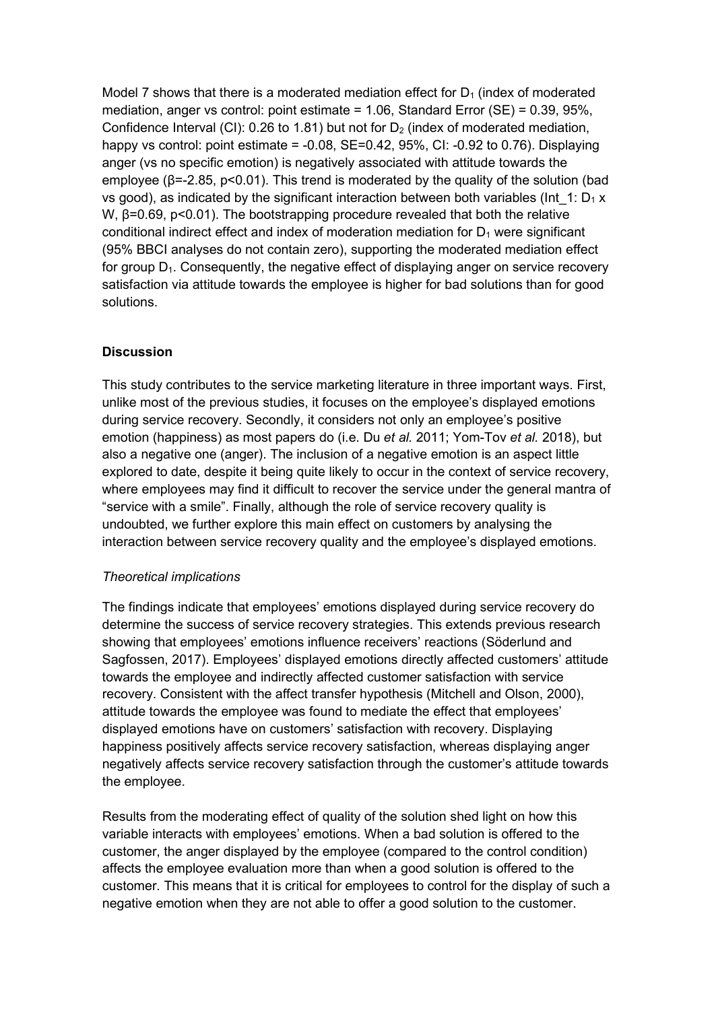Model 7 shows that there is a moderated mediation effect for  $D_1$  (index of moderated mediation, anger vs control: point estimate = 1.06, Standard Error (SE) = 0.39, 95%, Confidence Interval (CI): 0.26 to 1.81) but not for  $D_2$  (index of moderated mediation, happy vs control: point estimate =  $-0.08$ , SE=0.42, 95%, CI:  $-0.92$  to 0.76). Displaying anger (vs no specific emotion) is negatively associated with attitude towards the employee ( $\beta$ =-2.85, p<0.01). This trend is moderated by the quality of the solution (bad vs good), as indicated by the significant interaction between both variables (Int  $1: D_1 x$ W,  $β=0.69$ ,  $p<0.01$ ). The bootstrapping procedure revealed that both the relative conditional indirect effect and index of moderation mediation for  $D_1$  were significant (95% BBCI analyses do not contain zero), supporting the moderated mediation effect for group  $D_1$ . Consequently, the negative effect of displaying anger on service recovery satisfaction via attitude towards the employee is higher for bad solutions than for good solutions.

# **Discussion**

This study contributes to the service marketing literature in three important ways. First, unlike most of the previous studies, it focuses on the employee's displayed emotions during service recovery. Secondly, it considers not only an employee's positive emotion (happiness) as most papers do (i.e. Du *et al.* 2011; Yom-Tov *et al.* 2018), but also a negative one (anger). The inclusion of a negative emotion is an aspect little explored to date, despite it being quite likely to occur in the context of service recovery, where employees may find it difficult to recover the service under the general mantra of "service with a smile". Finally, although the role of service recovery quality is undoubted, we further explore this main effect on customers by analysing the interaction between service recovery quality and the employee's displayed emotions.

## *Theoretical implications*

The findings indicate that employees' emotions displayed during service recovery do determine the success of service recovery strategies. This extends previous research showing that employees' emotions influence receivers' reactions (Söderlund and Sagfossen, 2017). Employees' displayed emotions directly affected customers' attitude towards the employee and indirectly affected customer satisfaction with service recovery. Consistent with the affect transfer hypothesis (Mitchell and Olson, 2000), attitude towards the employee was found to mediate the effect that employees' displayed emotions have on customers' satisfaction with recovery. Displaying happiness positively affects service recovery satisfaction, whereas displaying anger negatively affects service recovery satisfaction through the customer's attitude towards the employee.

Results from the moderating effect of quality of the solution shed light on how this variable interacts with employees' emotions. When a bad solution is offered to the customer, the anger displayed by the employee (compared to the control condition) affects the employee evaluation more than when a good solution is offered to the customer. This means that it is critical for employees to control for the display of such a negative emotion when they are not able to offer a good solution to the customer.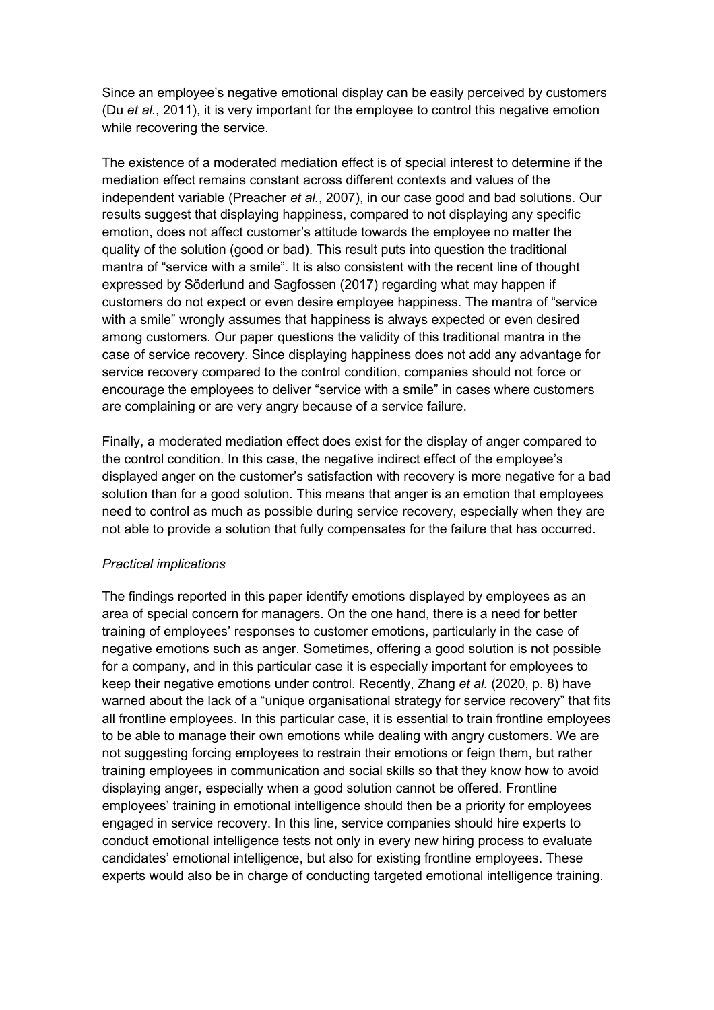Since an employee's negative emotional display can be easily perceived by customers (Du *et al.*, 2011), it is very important for the employee to control this negative emotion while recovering the service.

The existence of a moderated mediation effect is of special interest to determine if the mediation effect remains constant across different contexts and values of the independent variable (Preacher *et al.*, 2007), in our case good and bad solutions. Our results suggest that displaying happiness, compared to not displaying any specific emotion, does not affect customer's attitude towards the employee no matter the quality of the solution (good or bad). This result puts into question the traditional mantra of "service with a smile". It is also consistent with the recent line of thought expressed by Söderlund and Sagfossen (2017) regarding what may happen if customers do not expect or even desire employee happiness. The mantra of "service with a smile" wrongly assumes that happiness is always expected or even desired among customers. Our paper questions the validity of this traditional mantra in the case of service recovery. Since displaying happiness does not add any advantage for service recovery compared to the control condition, companies should not force or encourage the employees to deliver "service with a smile" in cases where customers are complaining or are very angry because of a service failure.

Finally, a moderated mediation effect does exist for the display of anger compared to the control condition. In this case, the negative indirect effect of the employee's displayed anger on the customer's satisfaction with recovery is more negative for a bad solution than for a good solution. This means that anger is an emotion that employees need to control as much as possible during service recovery, especially when they are not able to provide a solution that fully compensates for the failure that has occurred.

## *Practical implications*

The findings reported in this paper identify emotions displayed by employees as an area of special concern for managers. On the one hand, there is a need for better training of employees' responses to customer emotions, particularly in the case of negative emotions such as anger. Sometimes, offering a good solution is not possible for a company, and in this particular case it is especially important for employees to keep their negative emotions under control. Recently, Zhang *et al.* (2020, p. 8) have warned about the lack of a "unique organisational strategy for service recovery" that fits all frontline employees. In this particular case, it is essential to train frontline employees to be able to manage their own emotions while dealing with angry customers. We are not suggesting forcing employees to restrain their emotions or feign them, but rather training employees in communication and social skills so that they know how to avoid displaying anger, especially when a good solution cannot be offered. Frontline employees' training in emotional intelligence should then be a priority for employees engaged in service recovery. In this line, service companies should hire experts to conduct emotional intelligence tests not only in every new hiring process to evaluate candidates' emotional intelligence, but also for existing frontline employees. These experts would also be in charge of conducting targeted emotional intelligence training.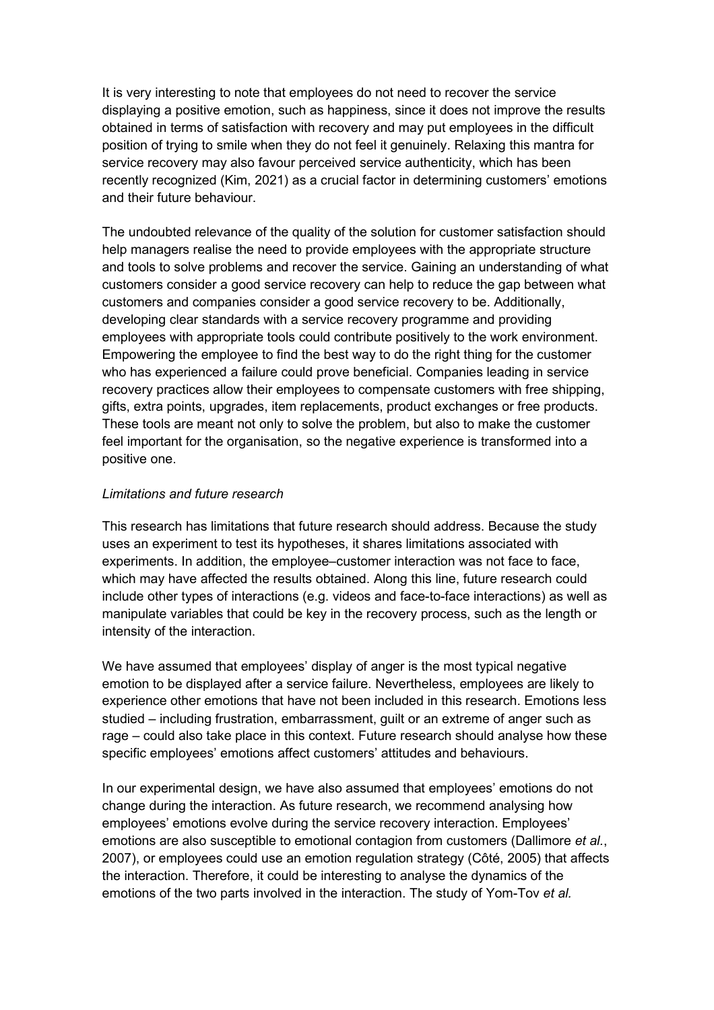It is very interesting to note that employees do not need to recover the service displaying a positive emotion, such as happiness, since it does not improve the results obtained in terms of satisfaction with recovery and may put employees in the difficult position of trying to smile when they do not feel it genuinely. Relaxing this mantra for service recovery may also favour perceived service authenticity, which has been recently recognized (Kim, 2021) as a crucial factor in determining customers' emotions and their future behaviour.

The undoubted relevance of the quality of the solution for customer satisfaction should help managers realise the need to provide employees with the appropriate structure and tools to solve problems and recover the service. Gaining an understanding of what customers consider a good service recovery can help to reduce the gap between what customers and companies consider a good service recovery to be. Additionally, developing clear standards with a service recovery programme and providing employees with appropriate tools could contribute positively to the work environment. Empowering the employee to find the best way to do the right thing for the customer who has experienced a failure could prove beneficial. Companies leading in service recovery practices allow their employees to compensate customers with free shipping, gifts, extra points, upgrades, item replacements, product exchanges or free products. These tools are meant not only to solve the problem, but also to make the customer feel important for the organisation, so the negative experience is transformed into a positive one.

## *Limitations and future research*

This research has limitations that future research should address. Because the study uses an experiment to test its hypotheses, it shares limitations associated with experiments. In addition, the employee–customer interaction was not face to face, which may have affected the results obtained. Along this line, future research could include other types of interactions (e.g. videos and face-to-face interactions) as well as manipulate variables that could be key in the recovery process, such as the length or intensity of the interaction.

We have assumed that employees' display of anger is the most typical negative emotion to be displayed after a service failure. Nevertheless, employees are likely to experience other emotions that have not been included in this research. Emotions less studied – including frustration, embarrassment, guilt or an extreme of anger such as rage – could also take place in this context. Future research should analyse how these specific employees' emotions affect customers' attitudes and behaviours.

In our experimental design, we have also assumed that employees' emotions do not change during the interaction. As future research, we recommend analysing how employees' emotions evolve during the service recovery interaction. Employees' emotions are also susceptible to emotional contagion from customers (Dallimore *et al.*, 2007), or employees could use an emotion regulation strategy (Côté, 2005) that affects the interaction. Therefore, it could be interesting to analyse the dynamics of the emotions of the two parts involved in the interaction. The study of Yom-Tov *et al.*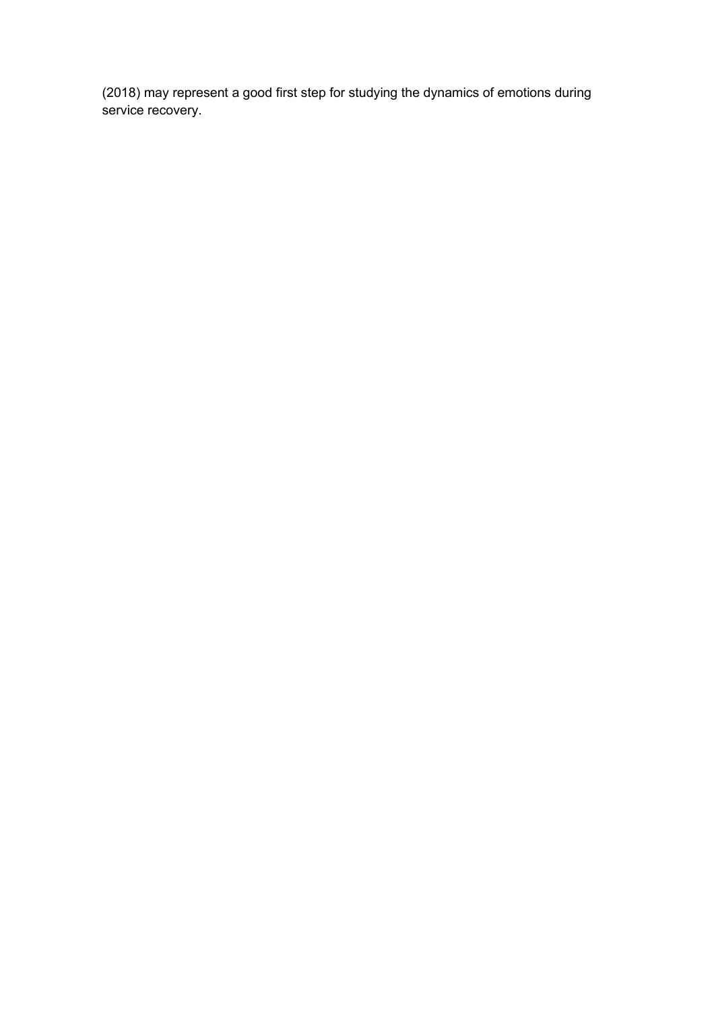(2018) may represent a good first step for studying the dynamics of emotions during service recovery.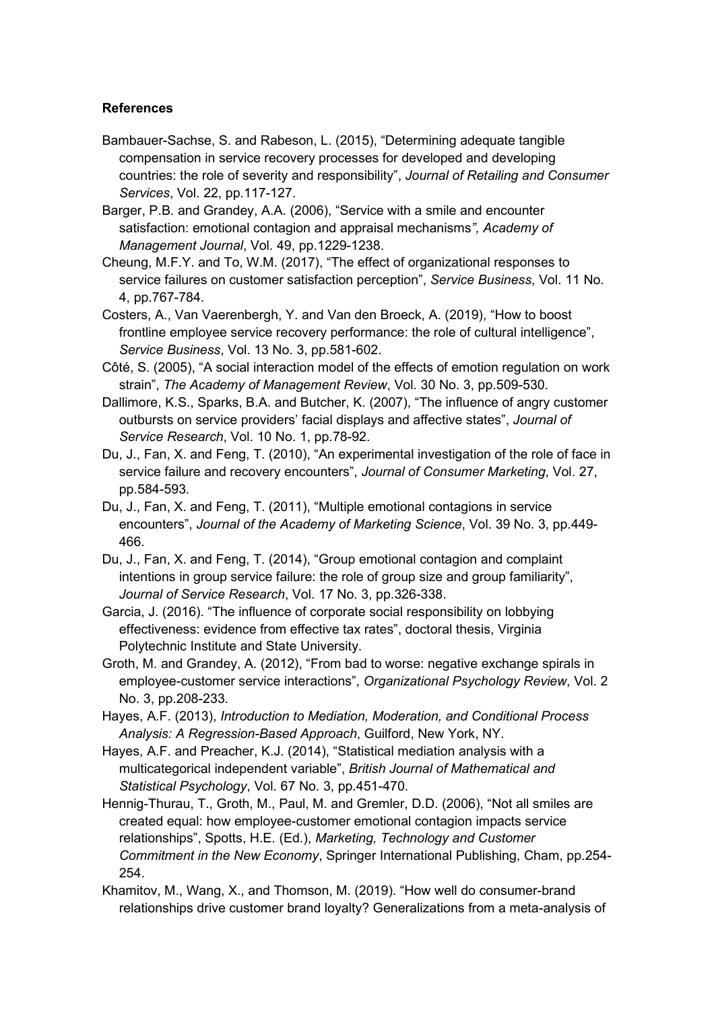# **References**

- Bambauer-Sachse, S. and Rabeson, L. (2015), "Determining adequate tangible compensation in service recovery processes for developed and developing countries: the role of severity and responsibility", *Journal of Retailing and Consumer Services*, Vol. 22, pp.117-127.
- Barger, P.B. and Grandey, A.A. (2006), "Service with a smile and encounter satisfaction: emotional contagion and appraisal mechanisms*", Academy of Management Journal*, Vol. 49, pp.1229-1238.
- Cheung, M.F.Y. and To, W.M. (2017), "The effect of organizational responses to service failures on customer satisfaction perception", *Service Business*, Vol. 11 No. 4, pp.767-784.
- Costers, A., Van Vaerenbergh, Y. and Van den Broeck, A. (2019), "How to boost frontline employee service recovery performance: the role of cultural intelligence", *Service Business*, Vol. 13 No. 3, pp.581-602.
- Côté, S. (2005), "A social interaction model of the effects of emotion regulation on work strain", *The Academy of Management Review*, Vol. 30 No. 3, pp.509-530.
- Dallimore, K.S., Sparks, B.A. and Butcher, K. (2007), "The influence of angry customer outbursts on service providers' facial displays and affective states", *Journal of Service Research*, Vol. 10 No. 1, pp.78-92.
- Du, J., Fan, X. and Feng, T. (2010), "An experimental investigation of the role of face in service failure and recovery encounters", *Journal of Consumer Marketing*, Vol. 27, pp.584-593.
- Du, J., Fan, X. and Feng, T. (2011), "Multiple emotional contagions in service encounters", *Journal of the Academy of Marketing Science*, Vol. 39 No. 3, pp.449- 466.
- Du, J., Fan, X. and Feng, T. (2014), "Group emotional contagion and complaint intentions in group service failure: the role of group size and group familiarity", *Journal of Service Research*, Vol. 17 No. 3, pp.326-338.
- Garcia, J. (2016). "The influence of corporate social responsibility on lobbying effectiveness: evidence from effective tax rates", doctoral thesis, Virginia Polytechnic Institute and State University.
- Groth, M. and Grandey, A. (2012), "From bad to worse: negative exchange spirals in employee-customer service interactions", *Organizational Psychology Review*, Vol. 2 No. 3, pp.208-233.
- Hayes, A.F. (2013), *Introduction to Mediation, Moderation, and Conditional Process Analysis: A Regression-Based Approach*, Guilford, New York, NY.
- Hayes, A.F. and Preacher, K.J. (2014), "Statistical mediation analysis with a multicategorical independent variable", *British Journal of Mathematical and Statistical Psychology*, Vol. 67 No. 3, pp.451-470.
- Hennig-Thurau, T., Groth, M., Paul, M. and Gremler, D.D. (2006), "Not all smiles are created equal: how employee-customer emotional contagion impacts service relationships", Spotts, H.E. (Ed.), *Marketing, Technology and Customer Commitment in the New Economy*, Springer International Publishing, Cham, pp.254- 254.
- Khamitov, M., Wang, X., and Thomson, M. (2019). "How well do consumer-brand relationships drive customer brand loyalty? Generalizations from a meta-analysis of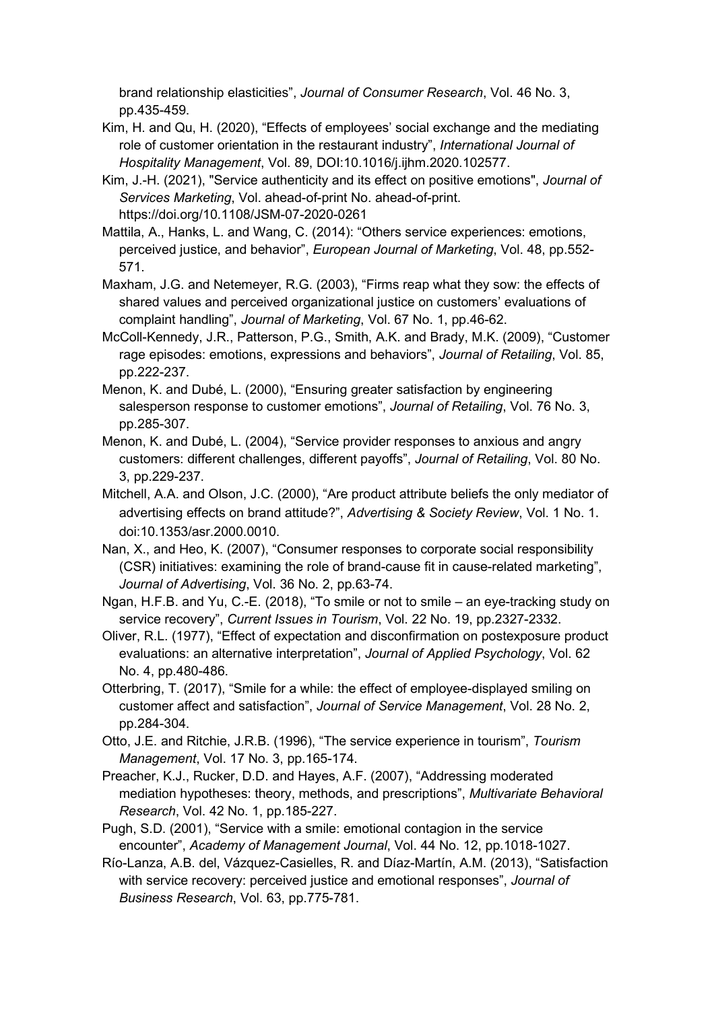brand relationship elasticities", *Journal of Consumer Research*, Vol. 46 No. 3, pp.435-459.

- Kim, H. and Qu, H. (2020), "Effects of employees' social exchange and the mediating role of customer orientation in the restaurant industry", *International Journal of Hospitality Management*, Vol. 89, DOI:10.1016/j.ijhm.2020.102577.
- Kim, J.-H. (2021), "Service authenticity and its effect on positive emotions", *Journal of Services Marketing*, Vol. ahead-of-print No. ahead-of-print. https://doi.org/10.1108/JSM-07-2020-0261
- Mattila, A., Hanks, L. and Wang, C. (2014): "Others service experiences: emotions, perceived justice, and behavior", *European Journal of Marketing*, Vol. 48, pp.552- 571.
- Maxham, J.G. and Netemeyer, R.G. (2003), "Firms reap what they sow: the effects of shared values and perceived organizational justice on customers' evaluations of complaint handling", *Journal of Marketing*, Vol. 67 No. 1, pp.46-62.
- McColl-Kennedy, J.R., Patterson, P.G., Smith, A.K. and Brady, M.K. (2009), "Customer rage episodes: emotions, expressions and behaviors", *Journal of Retailing*, Vol. 85, pp.222-237.
- Menon, K. and Dubé, L. (2000), "Ensuring greater satisfaction by engineering salesperson response to customer emotions", *Journal of Retailing*, Vol. 76 No. 3, pp.285-307.
- Menon, K. and Dubé, L. (2004), "Service provider responses to anxious and angry customers: different challenges, different payoffs", *Journal of Retailing*, Vol. 80 No. 3, pp.229-237.
- Mitchell, A.A. and Olson, J.C. (2000), "Are product attribute beliefs the only mediator of advertising effects on brand attitude?", *Advertising & Society Review*, Vol. 1 No. 1. [doi:10.1353/asr.2000.0010.](http://doi.org/10.1353/asr.2000.0010)
- Nan, X., and Heo, K. (2007), "Consumer responses to corporate social responsibility (CSR) initiatives: examining the role of brand-cause fit in cause-related marketing", *Journal of Advertising*, Vol. 36 No. 2, pp.63-74.
- Ngan, H.F.B. and Yu, C.-E. (2018), "To smile or not to smile an eye-tracking study on service recovery", *Current Issues in Tourism*, Vol. 22 No. 19, pp.2327-2332.
- Oliver, R.L. (1977), "Effect of expectation and disconfirmation on postexposure product evaluations: an alternative interpretation", *Journal of Applied Psychology*, Vol. 62 No. 4, pp.480-486.
- Otterbring, T. (2017), "Smile for a while: the effect of employee-displayed smiling on customer affect and satisfaction", *Journal of Service Management*, Vol. 28 No. 2, pp.284-304.
- Otto, J.E. and Ritchie, J.R.B. (1996), "The service experience in tourism", *Tourism Management*, Vol. 17 No. 3, pp.165-174.
- Preacher, K.J., Rucker, D.D. and Hayes, A.F. (2007), "Addressing moderated mediation hypotheses: theory, methods, and prescriptions", *Multivariate Behavioral Research*, Vol. 42 No. 1, pp.185-227.
- Pugh, S.D. (2001), "Service with a smile: emotional contagion in the service encounter", *Academy of Management Journal*, Vol. 44 No. 12, pp.1018-1027.
- Río-Lanza, A.B. del, Vázquez-Casielles, R. and Díaz-Martín, A.M. (2013), "Satisfaction with service recovery: perceived justice and emotional responses", *Journal of Business Research*, Vol. 63, pp.775-781.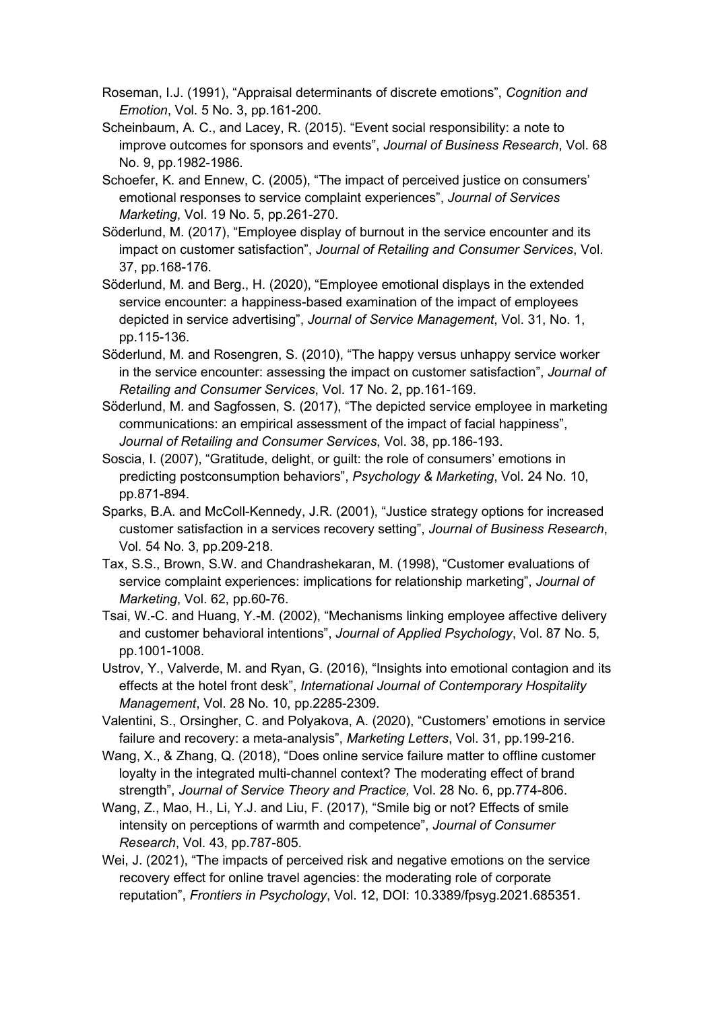- Roseman, I.J. (1991), "Appraisal determinants of discrete emotions", *Cognition and Emotion*, Vol. 5 No. 3, pp.161-200.
- Scheinbaum, A. C., and Lacey, R. (2015). "Event social responsibility: a note to improve outcomes for sponsors and events", *Journal of Business Research*, Vol. 68 No. 9, pp.1982-1986.
- Schoefer, K. and Ennew, C. (2005), "The impact of perceived justice on consumers' emotional responses to service complaint experiences", *Journal of Services Marketing*, Vol. 19 No. 5, pp.261-270.
- Söderlund, M. (2017), "Employee display of burnout in the service encounter and its impact on customer satisfaction", *Journal of Retailing and Consumer Services*, Vol. 37, pp.168-176.
- Söderlund, M. and Berg., H. (2020), "Employee emotional displays in the extended service encounter: a happiness-based examination of the impact of employees depicted in service advertising", *Journal of Service Management*, Vol. 31, No. 1, pp.115-136.
- Söderlund, M. and Rosengren, S. (2010), "The happy versus unhappy service worker in the service encounter: assessing the impact on customer satisfaction", *Journal of Retailing and Consumer Services*, Vol. 17 No. 2, pp.161-169.
- Söderlund, M. and Sagfossen, S. (2017), "The depicted service employee in marketing communications: an empirical assessment of the impact of facial happiness", *Journal of Retailing and Consumer Services*, Vol. 38, pp.186-193.
- Soscia, I. (2007), "Gratitude, delight, or guilt: the role of consumers' emotions in predicting postconsumption behaviors", *Psychology & Marketing*, Vol. 24 No. 10, pp.871-894.
- Sparks, B.A. and McColl-Kennedy, J.R. (2001), "Justice strategy options for increased customer satisfaction in a services recovery setting", *Journal of Business Research*, Vol. 54 No. 3, pp.209-218.
- Tax, S.S., Brown, S.W. and Chandrashekaran, M. (1998), "Customer evaluations of service complaint experiences: implications for relationship marketing", *Journal of Marketing*, Vol. 62, pp.60-76.
- Tsai, W.-C. and Huang, Y.-M. (2002), "Mechanisms linking employee affective delivery and customer behavioral intentions", *Journal of Applied Psychology*, Vol. 87 No. 5, pp.1001-1008.
- Ustrov, Y., Valverde, M. and Ryan, G. (2016), "Insights into emotional contagion and its effects at the hotel front desk", *International Journal of Contemporary Hospitality Management*, Vol. 28 No. 10, pp.2285-2309.
- Valentini, S., Orsingher, C. and Polyakova, A. (2020), "Customers' emotions in service failure and recovery: a meta-analysis", *Marketing Letters*, Vol. 31, pp.199-216.
- Wang, X., & Zhang, Q. (2018), "Does online service failure matter to offline customer loyalty in the integrated multi-channel context? The moderating effect of brand strength", *Journal of Service Theory and Practice,* Vol. 28 No. 6, pp.774-806.
- Wang, Z., Mao, H., Li, Y.J. and Liu, F. (2017), "Smile big or not? Effects of smile intensity on perceptions of warmth and competence", *Journal of Consumer Research*, Vol. 43, pp.787-805.
- Wei, J. (2021), "The impacts of perceived risk and negative emotions on the service recovery effect for online travel agencies: the moderating role of corporate reputation", *Frontiers in Psychology*, Vol. 12, DOI: 10.3389/fpsyg.2021.685351.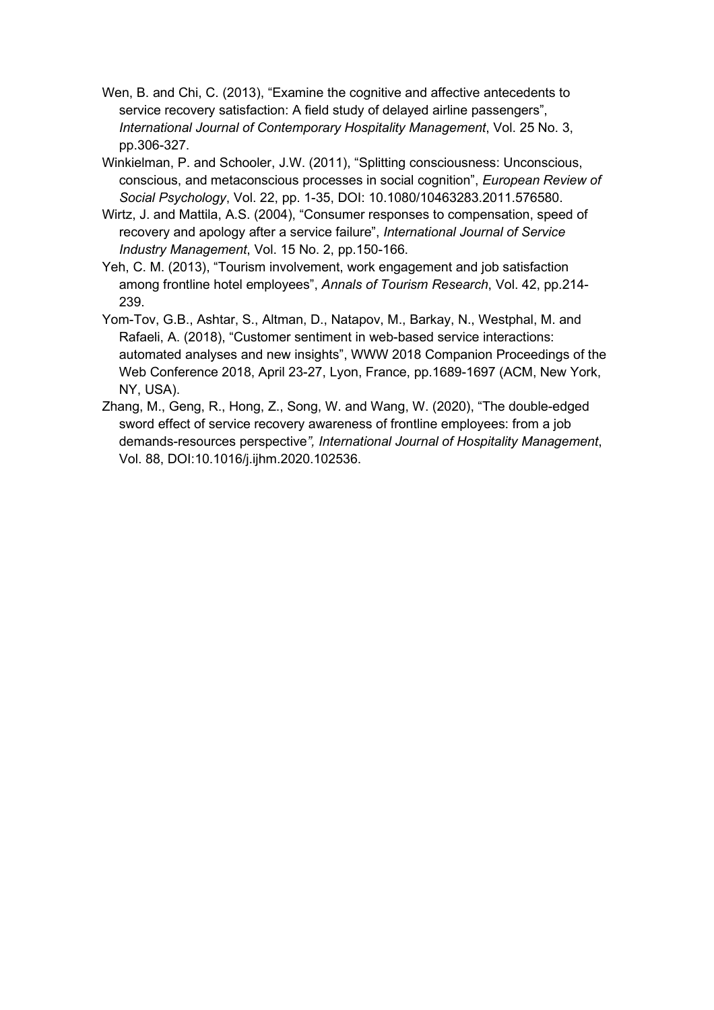- Wen, B. and Chi, C. (2013), "Examine the cognitive and affective antecedents to service recovery satisfaction: A field study of delayed airline passengers", *International Journal of Contemporary Hospitality Management*, Vol. 25 No. 3, pp.306-327.
- Winkielman, P. and Schooler, J.W. (2011), "Splitting consciousness: Unconscious, conscious, and metaconscious processes in social cognition", *European Review of Social Psychology*, Vol. 22, pp. 1-35, DOI: 10.1080/10463283.2011.576580.
- Wirtz, J. and Mattila, A.S. (2004), "Consumer responses to compensation, speed of recovery and apology after a service failure", *International Journal of Service Industry Management*, Vol. 15 No. 2, pp.150-166.
- Yeh, C. M. (2013), "Tourism involvement, work engagement and job satisfaction among frontline hotel employees", *Annals of Tourism Research*, Vol. 42, pp.214- 239.
- Yom-Tov, G.B., Ashtar, S., Altman, D., Natapov, M., Barkay, N., Westphal, M. and Rafaeli, A. (2018), "Customer sentiment in web-based service interactions: automated analyses and new insights", WWW 2018 Companion Proceedings of the Web Conference 2018, April 23-27, Lyon, France, pp.1689-1697 (ACM, New York, NY, USA).
- Zhang, M., Geng, R., Hong, Z., Song, W. and Wang, W. (2020), "The double-edged sword effect of service recovery awareness of frontline employees: from a job demands-resources perspective*", International Journal of Hospitality Management*, Vol. 88, DOI:10.1016/j.ijhm.2020.102536.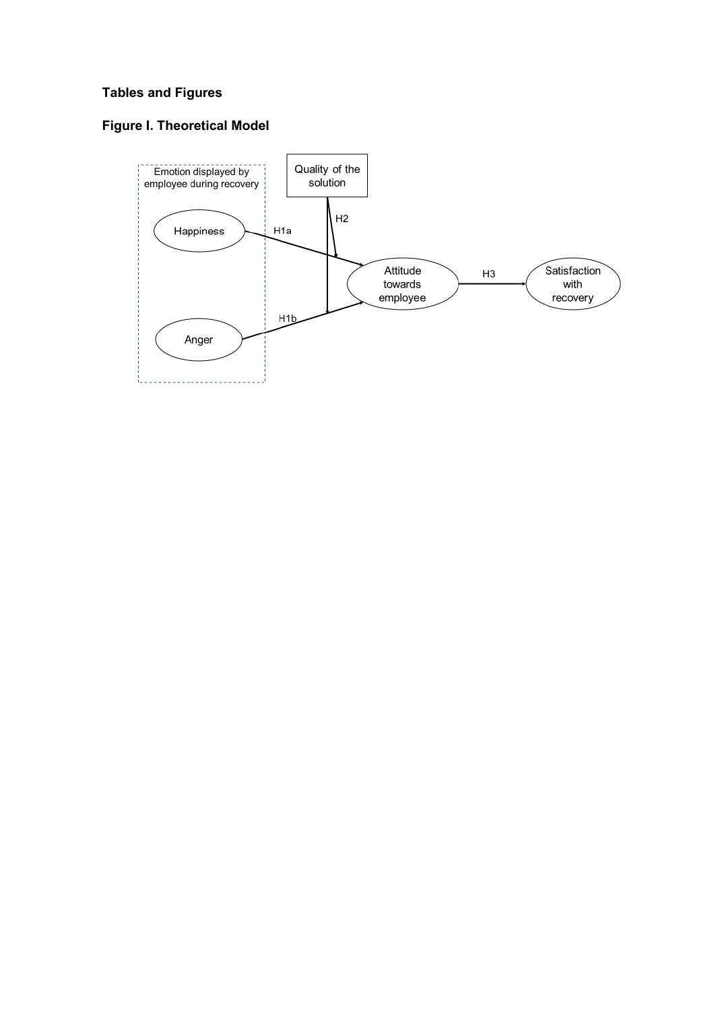# **Tables and Figures**

# **Figure I. Theoretical Model**

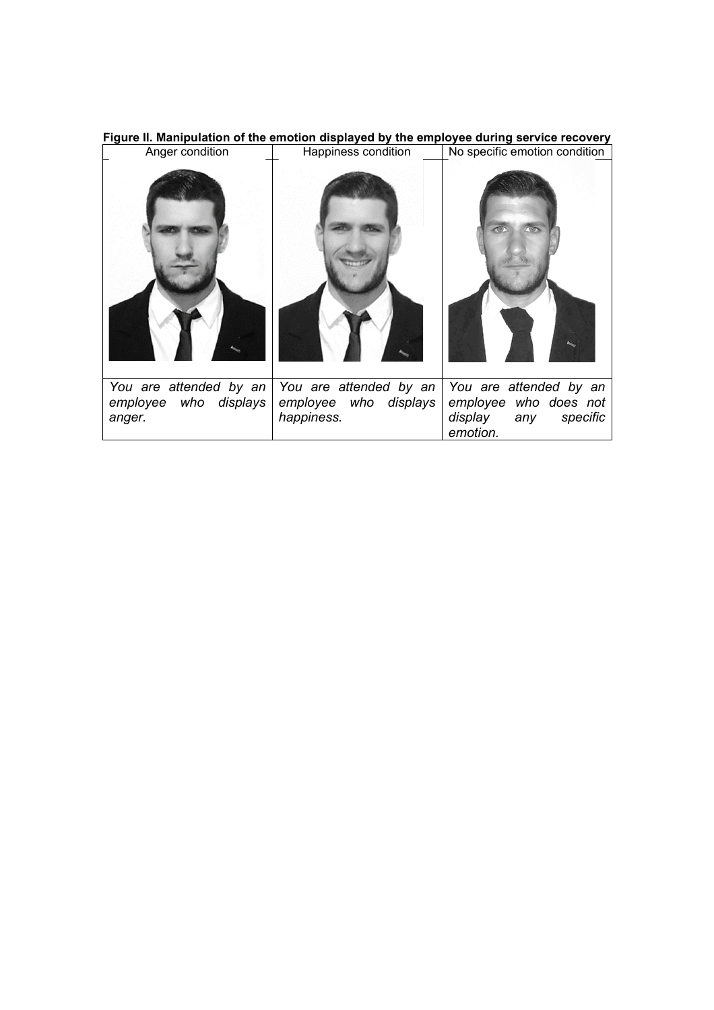| Anger condition                                           | Happiness condition                                           | igaio in manipalation of the emotion aleplayed by the employee daring corrico receiving<br>No specific emotion condition |  |  |  |
|-----------------------------------------------------------|---------------------------------------------------------------|--------------------------------------------------------------------------------------------------------------------------|--|--|--|
|                                                           |                                                               |                                                                                                                          |  |  |  |
| You are attended by an<br>employee who displays<br>anger. | You are attended by an<br>employee who displays<br>happiness. | You are attended by an<br>employee who does not<br>display<br>specific<br>any<br>emotion.                                |  |  |  |

**Figure II. Manipulation of the emotion displayed by the employee during service recovery**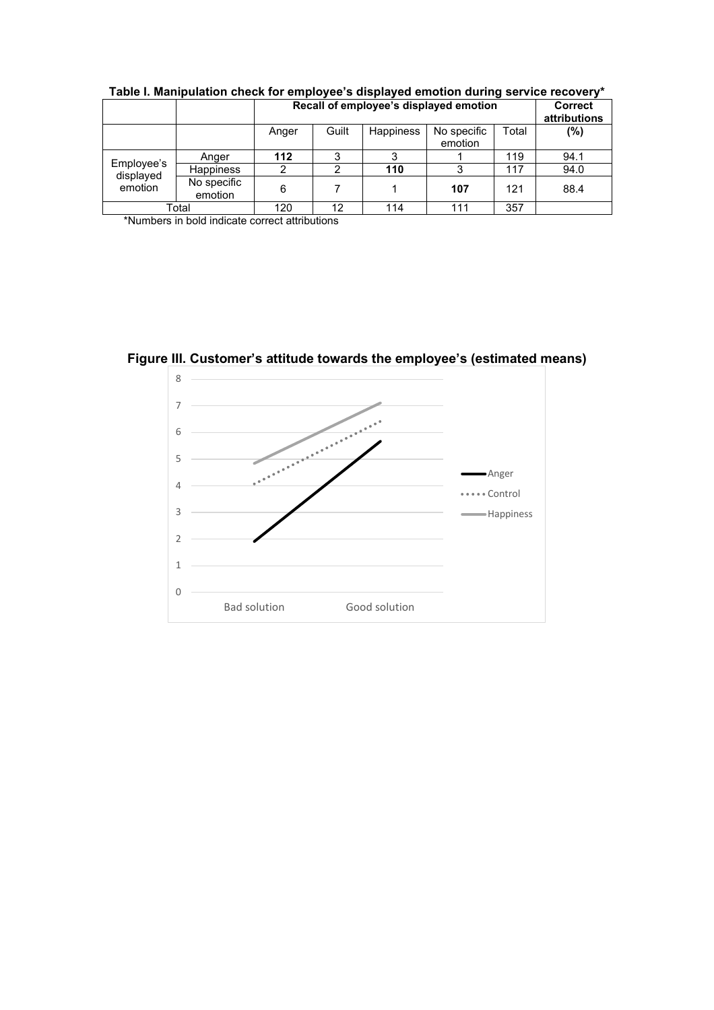|                                    |                        | Recall of employee's displayed emotion |       |           |                        | <b>Correct</b><br>attributions |        |
|------------------------------------|------------------------|----------------------------------------|-------|-----------|------------------------|--------------------------------|--------|
|                                    |                        | Anger                                  | Guilt | Happiness | No specific<br>emotion | Total                          | $(\%)$ |
| Employee's<br>displayed<br>emotion | Anger                  | 112                                    | 3     |           |                        | 119                            | 94.1   |
|                                    | <b>Happiness</b>       | 2                                      | っ     | 110       | 3                      | 117                            | 94.0   |
|                                    | No specific<br>emotion | 6                                      |       |           | 107                    | 121                            | 88.4   |
| Total                              |                        | 120                                    | 12    | 114       | 111                    | 357                            |        |

**Table I. Manipulation check for employee's displayed emotion during service recovery\***

\*Numbers in bold indicate correct attributions

**Figure III. Customer's attitude towards the employee's (estimated means)**